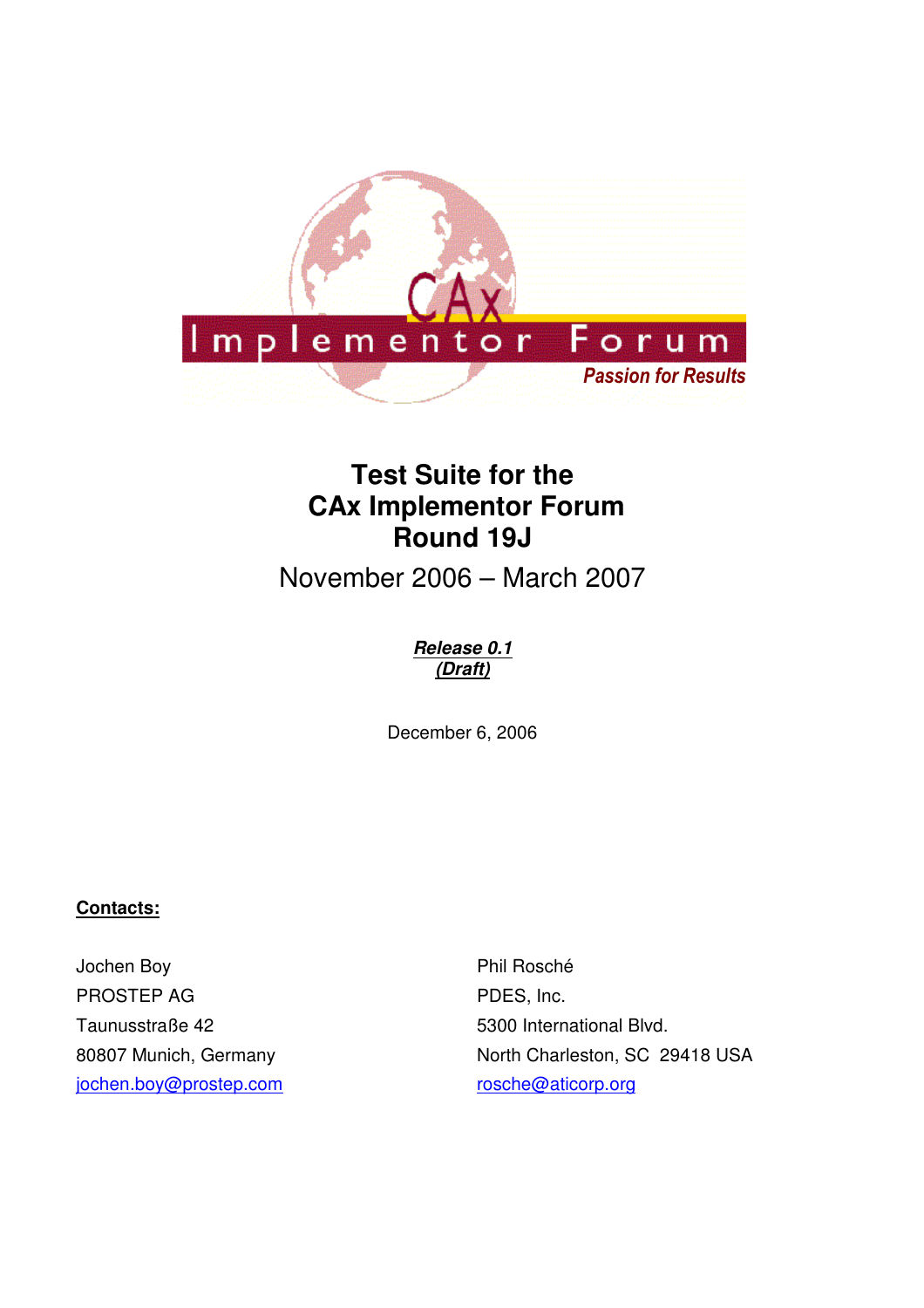

# **Test Suite for the CAx Implementor Forum Round 19J**

November 2006 – March 2007

## **Release 0.1 (Draft)**

December 6, 2006

## **Contacts:**

Jochen Boy PROSTEP AG Taunusstraße 42 80807 Munich, Germany jochen.boy@prostep.com

Phil Rosché PDES, Inc. 5300 International Blvd. North Charleston, SC 29418 USA rosche@aticorp.org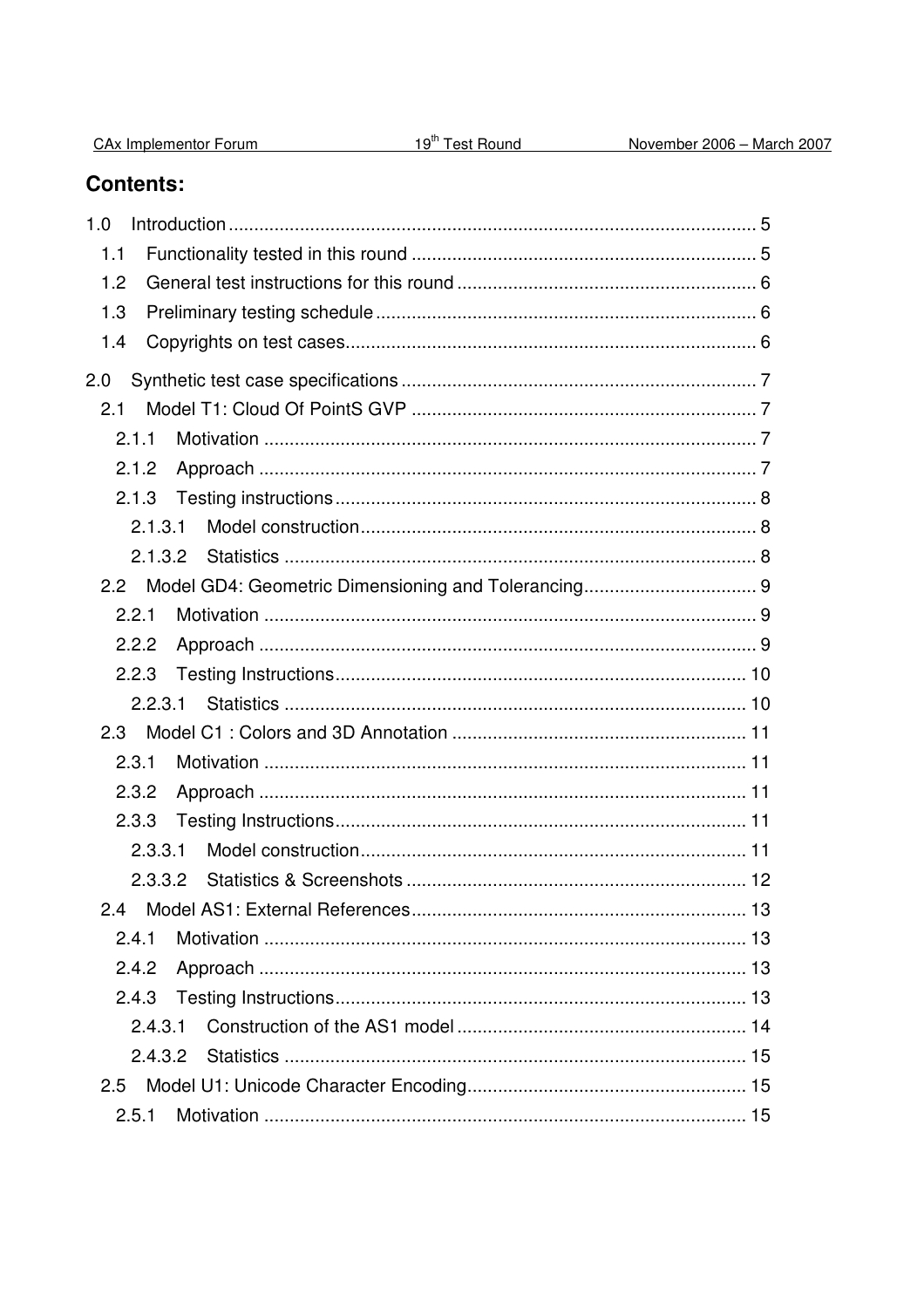| <b>CAx Implementor Forum</b> |  |
|------------------------------|--|
|                              |  |

# **Contents:**

| 1.0           |  |
|---------------|--|
| 1.1           |  |
| 1.2           |  |
| 1.3           |  |
| 1.4           |  |
| 2.0           |  |
| 2.1           |  |
| 2.1.1         |  |
| 2.1.2         |  |
| 2.1.3         |  |
| 2.1.3.1       |  |
| 2.1.3.2       |  |
| $2.2^{\circ}$ |  |
| 2.2.1         |  |
| 2.2.2         |  |
| 2.2.3         |  |
| 2.2.3.1       |  |
| 2.3           |  |
| 2.3.1         |  |
| 2.3.2         |  |
| 2.3.3         |  |
| 2.3.3.1       |  |
| 2.3.3.2       |  |
|               |  |
| 2.4.1         |  |
| 2.4.2         |  |
| 2.4.3         |  |
| 2.4.3.1       |  |
|               |  |
| 2.5           |  |
| 2.5.1         |  |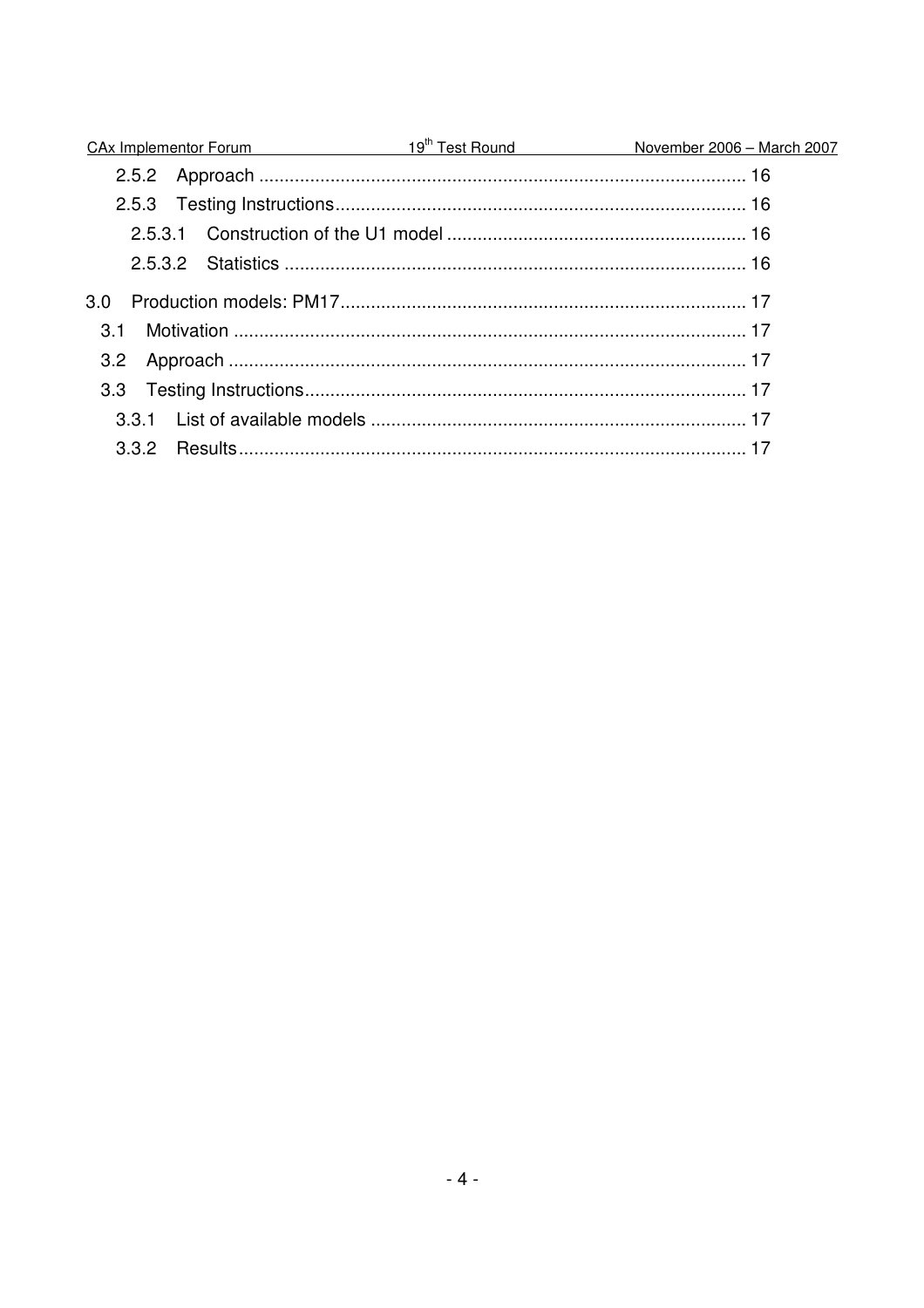|                  | CAx Implementor Forum 19 <sup>th</sup> Test Round November 2006 - March 2007 |
|------------------|------------------------------------------------------------------------------|
|                  |                                                                              |
|                  |                                                                              |
|                  |                                                                              |
|                  |                                                                              |
| 3.0 <sub>2</sub> |                                                                              |
| .3.1             |                                                                              |
| 3.2              |                                                                              |
|                  |                                                                              |
|                  |                                                                              |
| 3.3.2            |                                                                              |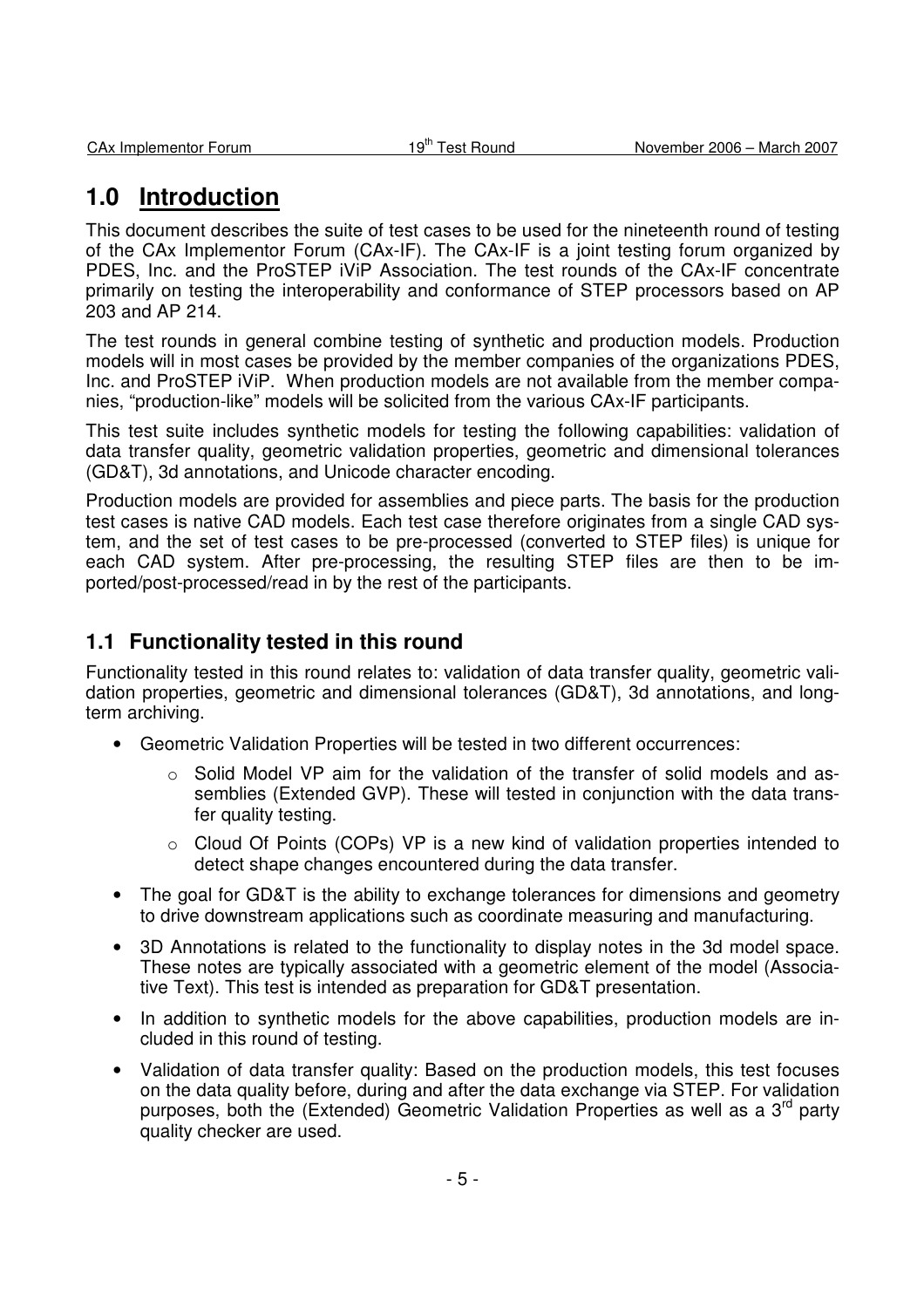# **1.0 Introduction**

This document describes the suite of test cases to be used for the nineteenth round of testing of the CAx Implementor Forum (CAx-IF). The CAx-IF is a joint testing forum organized by PDES, Inc. and the ProSTEP iViP Association. The test rounds of the CAx-IF concentrate primarily on testing the interoperability and conformance of STEP processors based on AP 203 and AP 214.

The test rounds in general combine testing of synthetic and production models. Production models will in most cases be provided by the member companies of the organizations PDES, Inc. and ProSTEP iViP. When production models are not available from the member companies, "production-like" models will be solicited from the various CAx-IF participants.

This test suite includes synthetic models for testing the following capabilities: validation of data transfer quality, geometric validation properties, geometric and dimensional tolerances (GD&T), 3d annotations, and Unicode character encoding.

Production models are provided for assemblies and piece parts. The basis for the production test cases is native CAD models. Each test case therefore originates from a single CAD system, and the set of test cases to be pre-processed (converted to STEP files) is unique for each CAD system. After pre-processing, the resulting STEP files are then to be imported/post-processed/read in by the rest of the participants.

## **1.1 Functionality tested in this round**

Functionality tested in this round relates to: validation of data transfer quality, geometric validation properties, geometric and dimensional tolerances (GD&T), 3d annotations, and longterm archiving.

- Geometric Validation Properties will be tested in two different occurrences:
	- $\circ$  Solid Model VP aim for the validation of the transfer of solid models and assemblies (Extended GVP). These will tested in conjunction with the data transfer quality testing.
	- o Cloud Of Points (COPs) VP is a new kind of validation properties intended to detect shape changes encountered during the data transfer.
- The goal for GD&T is the ability to exchange tolerances for dimensions and geometry to drive downstream applications such as coordinate measuring and manufacturing.
- 3D Annotations is related to the functionality to display notes in the 3d model space. These notes are typically associated with a geometric element of the model (Associative Text). This test is intended as preparation for GD&T presentation.
- In addition to synthetic models for the above capabilities, production models are included in this round of testing.
- Validation of data transfer quality: Based on the production models, this test focuses on the data quality before, during and after the data exchange via STEP. For validation purposes, both the (Extended) Geometric Validation Properties as well as a 3<sup>rd</sup> party quality checker are used.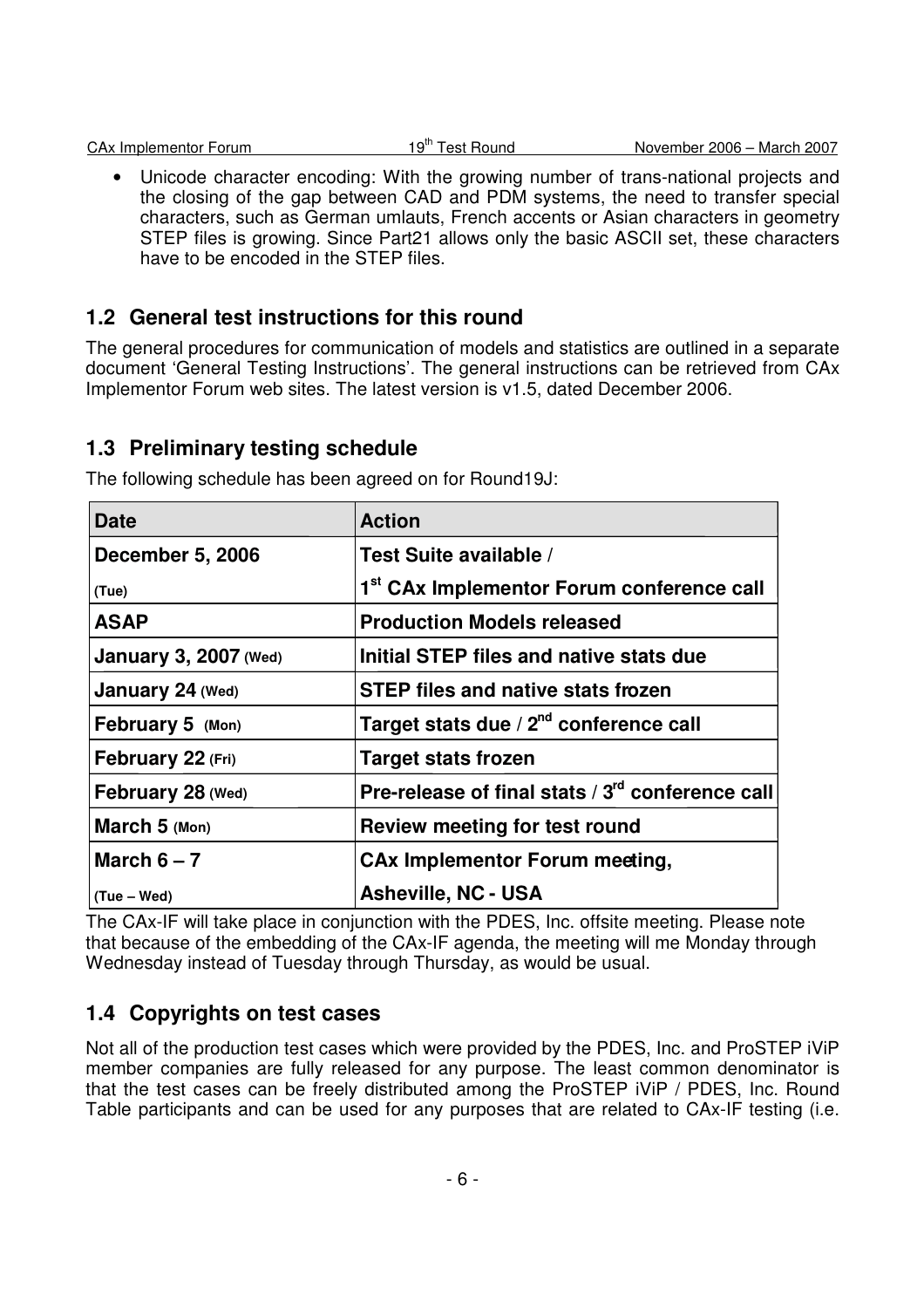|  | CA <sub>x</sub> Implementor Forum |  |
|--|-----------------------------------|--|
|  |                                   |  |

• Unicode character encoding: With the growing number of trans-national projects and the closing of the gap between CAD and PDM systems, the need to transfer special characters, such as German umlauts, French accents or Asian characters in geometry STEP files is growing. Since Part21 allows only the basic ASCII set, these characters have to be encoded in the STEP files.

## **1.2 General test instructions for this round**

The general procedures for communication of models and statistics are outlined in a separate document 'General Testing Instructions'. The general instructions can be retrieved from CAx Implementor Forum web sites. The latest version is v1.5, dated December 2006.

## **1.3 Preliminary testing schedule**

| <b>Date</b>                  | <b>Action</b>                                                |
|------------------------------|--------------------------------------------------------------|
| <b>December 5, 2006</b>      | Test Suite available /                                       |
| (Tue)                        | 1 <sup>st</sup> CAx Implementor Forum conference call        |
| <b>ASAP</b>                  | <b>Production Models released</b>                            |
| <b>January 3, 2007 (Wed)</b> | Initial STEP files and native stats due                      |
| January 24 (Wed)             | <b>STEP files and native stats frozen</b>                    |
| February 5 (Mon)             | Target stats due / 2 <sup>nd</sup> conference call           |
| February 22 (Fri)            | <b>Target stats frozen</b>                                   |
| February 28 (Wed)            | Pre-release of final stats / 3 <sup>rd</sup> conference call |
| March 5 (Mon)                | Review meeting for test round                                |
| March $6 - 7$                | <b>CAx Implementor Forum meeting,</b>                        |
| (Tue – Wed)                  | <b>Asheville, NC - USA</b>                                   |

The following schedule has been agreed on for Round19J:

The CAx-IF will take place in conjunction with the PDES, Inc. offsite meeting. Please note that because of the embedding of the CAx-IF agenda, the meeting will me Monday through Wednesday instead of Tuesday through Thursday, as would be usual.

## **1.4 Copyrights on test cases**

Not all of the production test cases which were provided by the PDES, Inc. and ProSTEP iViP member companies are fully released for any purpose. The least common denominator is that the test cases can be freely distributed among the ProSTEP iViP / PDES, Inc. Round Table participants and can be used for any purposes that are related to CAx-IF testing (i.e.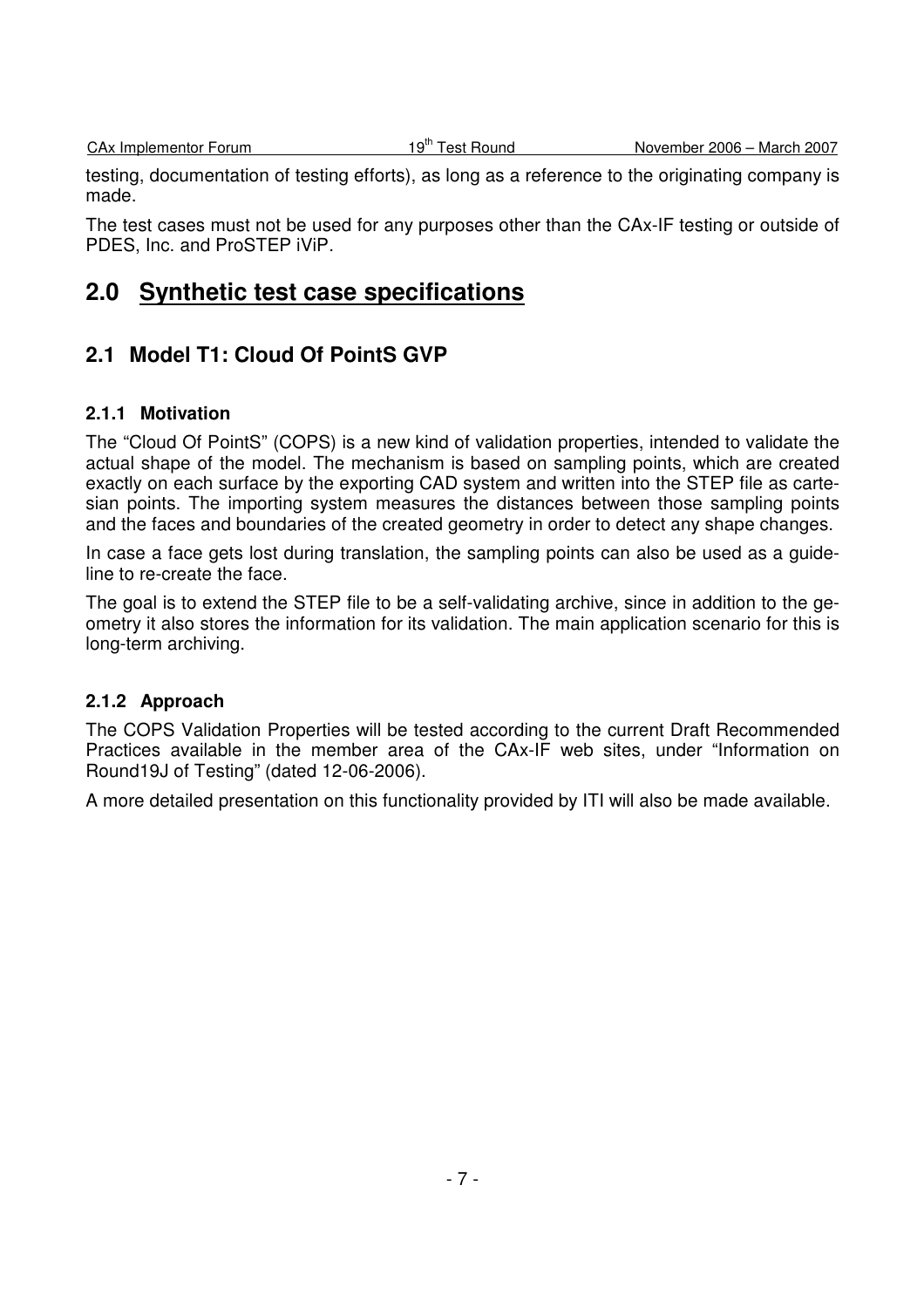testing, documentation of testing efforts), as long as a reference to the originating company is made.

The test cases must not be used for any purposes other than the CAx-IF testing or outside of PDES, Inc. and ProSTEP iViP.

# **2.0 Synthetic test case specifications**

## **2.1 Model T1: Cloud Of PointS GVP**

#### **2.1.1 Motivation**

The "Cloud Of PointS" (COPS) is a new kind of validation properties, intended to validate the actual shape of the model. The mechanism is based on sampling points, which are created exactly on each surface by the exporting CAD system and written into the STEP file as cartesian points. The importing system measures the distances between those sampling points and the faces and boundaries of the created geometry in order to detect any shape changes.

In case a face gets lost during translation, the sampling points can also be used as a guideline to re-create the face.

The goal is to extend the STEP file to be a self-validating archive, since in addition to the geometry it also stores the information for its validation. The main application scenario for this is long-term archiving.

#### **2.1.2 Approach**

The COPS Validation Properties will be tested according to the current Draft Recommended Practices available in the member area of the CAx-IF web sites, under "Information on Round19J of Testing" (dated 12-06-2006).

A more detailed presentation on this functionality provided by ITI will also be made available.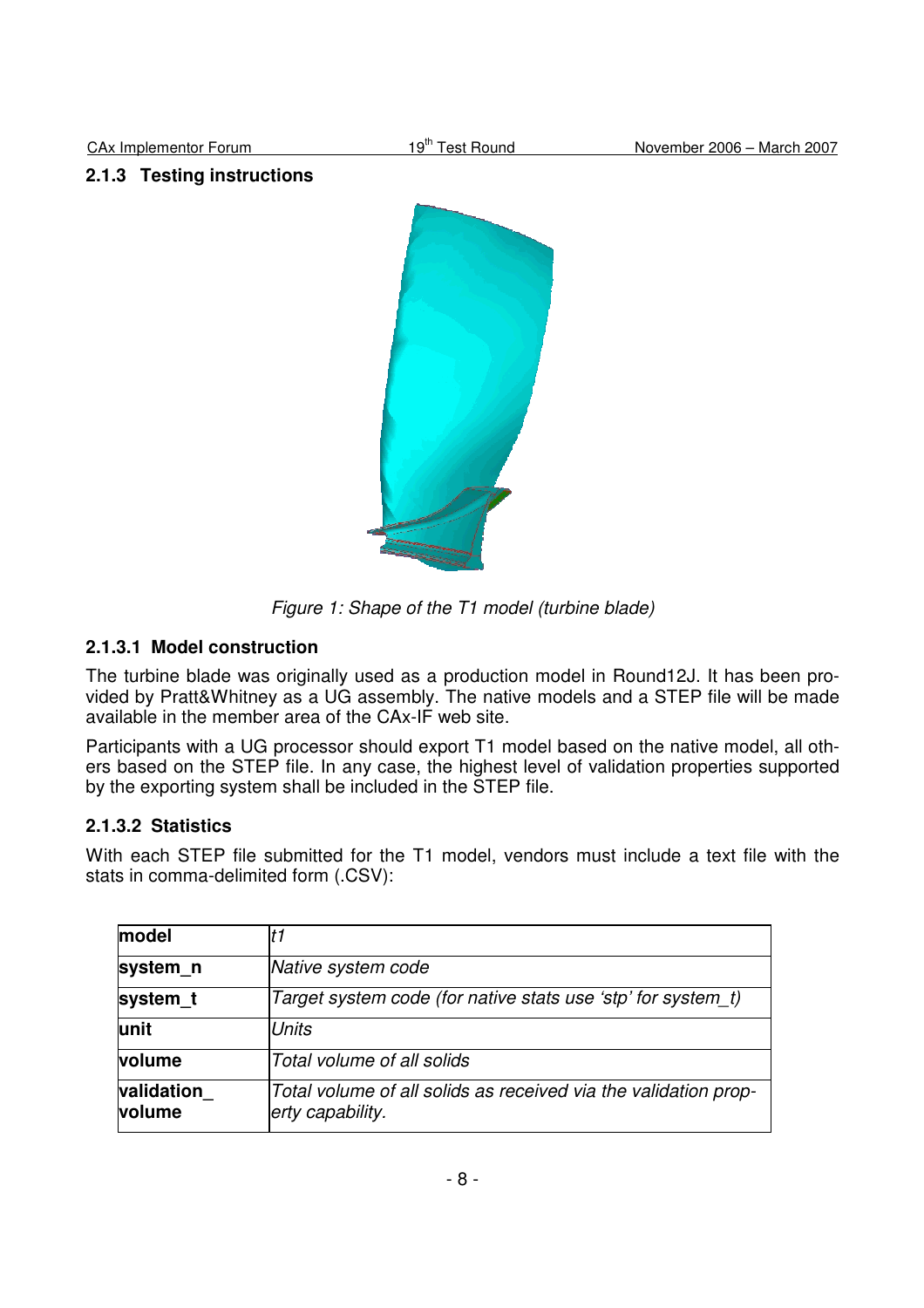#### **2.1.3 Testing instructions**



Figure 1: Shape of the T1 model (turbine blade)

#### **2.1.3.1 Model construction**

The turbine blade was originally used as a production model in Round12J. It has been provided by Pratt&Whitney as a UG assembly. The native models and a STEP file will be made available in the member area of the CAx-IF web site.

Participants with a UG processor should export T1 model based on the native model, all others based on the STEP file. In any case, the highest level of validation properties supported by the exporting system shall be included in the STEP file.

#### **2.1.3.2 Statistics**

With each STEP file submitted for the T1 model, vendors must include a text file with the stats in comma-delimited form (.CSV):

| model                       | t1                                                                                  |
|-----------------------------|-------------------------------------------------------------------------------------|
| system_n                    | Native system code                                                                  |
| system_t                    | Target system code (for native stats use 'stp' for system t)                        |
| lunit                       | <b>Units</b>                                                                        |
| <b>volume</b>               | Total volume of all solids                                                          |
| validation<br><b>volume</b> | Total volume of all solids as received via the validation prop-<br>erty capability. |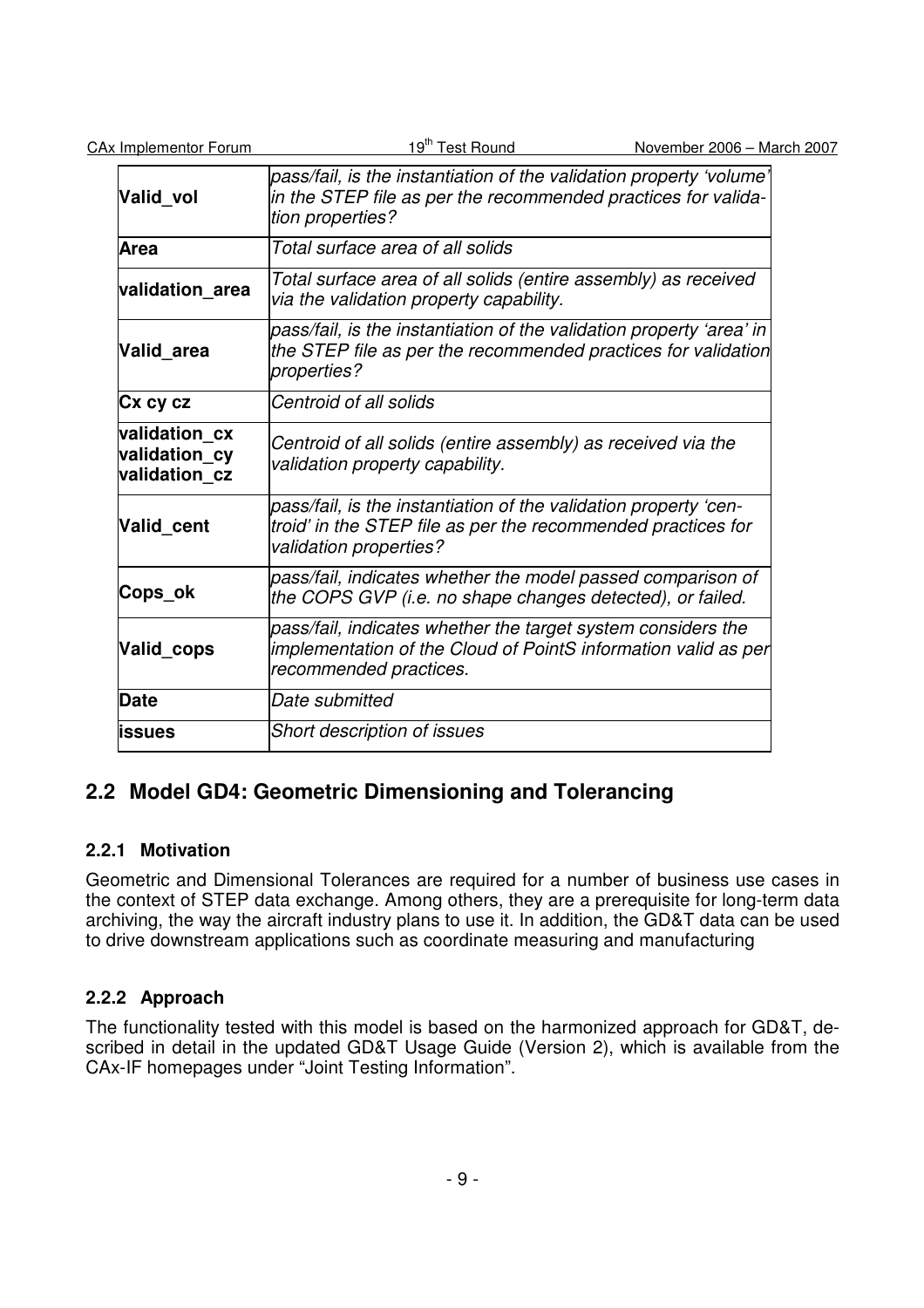| <b>CAx Implementor Forum</b>                    | 19 <sup>th</sup> Test Round                                                                                                                                | November 2006 - March 2007 |
|-------------------------------------------------|------------------------------------------------------------------------------------------------------------------------------------------------------------|----------------------------|
| Valid vol                                       | pass/fail, is the instantiation of the validation property 'volume'<br>in the STEP file as per the recommended practices for valida-<br>tion properties?   |                            |
| <b>Area</b>                                     | Total surface area of all solids                                                                                                                           |                            |
| validation_area                                 | Total surface area of all solids (entire assembly) as received<br>via the validation property capability.                                                  |                            |
| Valid area                                      | pass/fail, is the instantiation of the validation property 'area' in<br>the STEP file as per the recommended practices for validation<br>properties?       |                            |
| Cx cy cz                                        | Centroid of all solids                                                                                                                                     |                            |
| validation_cx<br>validation cy<br>validation cz | Centroid of all solids (entire assembly) as received via the<br>validation property capability.                                                            |                            |
| Valid_cent                                      | pass/fail, is the instantiation of the validation property 'cen-<br>troid' in the STEP file as per the recommended practices for<br>validation properties? |                            |
| Cops_ok                                         | pass/fail, indicates whether the model passed comparison of<br>the COPS GVP (i.e. no shape changes detected), or failed.                                   |                            |
| Valid_cops                                      | pass/fail, indicates whether the target system considers the<br>implementation of the Cloud of PointS information valid as per<br>recommended practices.   |                            |
| <b>Date</b>                                     | Date submitted                                                                                                                                             |                            |
| <b>lissues</b>                                  | <b>Short description of issues</b>                                                                                                                         |                            |

## **2.2 Model GD4: Geometric Dimensioning and Tolerancing**

## **2.2.1 Motivation**

Geometric and Dimensional Tolerances are required for a number of business use cases in the context of STEP data exchange. Among others, they are a prerequisite for long-term data archiving, the way the aircraft industry plans to use it. In addition, the GD&T data can be used to drive downstream applications such as coordinate measuring and manufacturing

## **2.2.2 Approach**

The functionality tested with this model is based on the harmonized approach for GD&T, described in detail in the updated GD&T Usage Guide (Version 2), which is available from the CAx-IF homepages under "Joint Testing Information".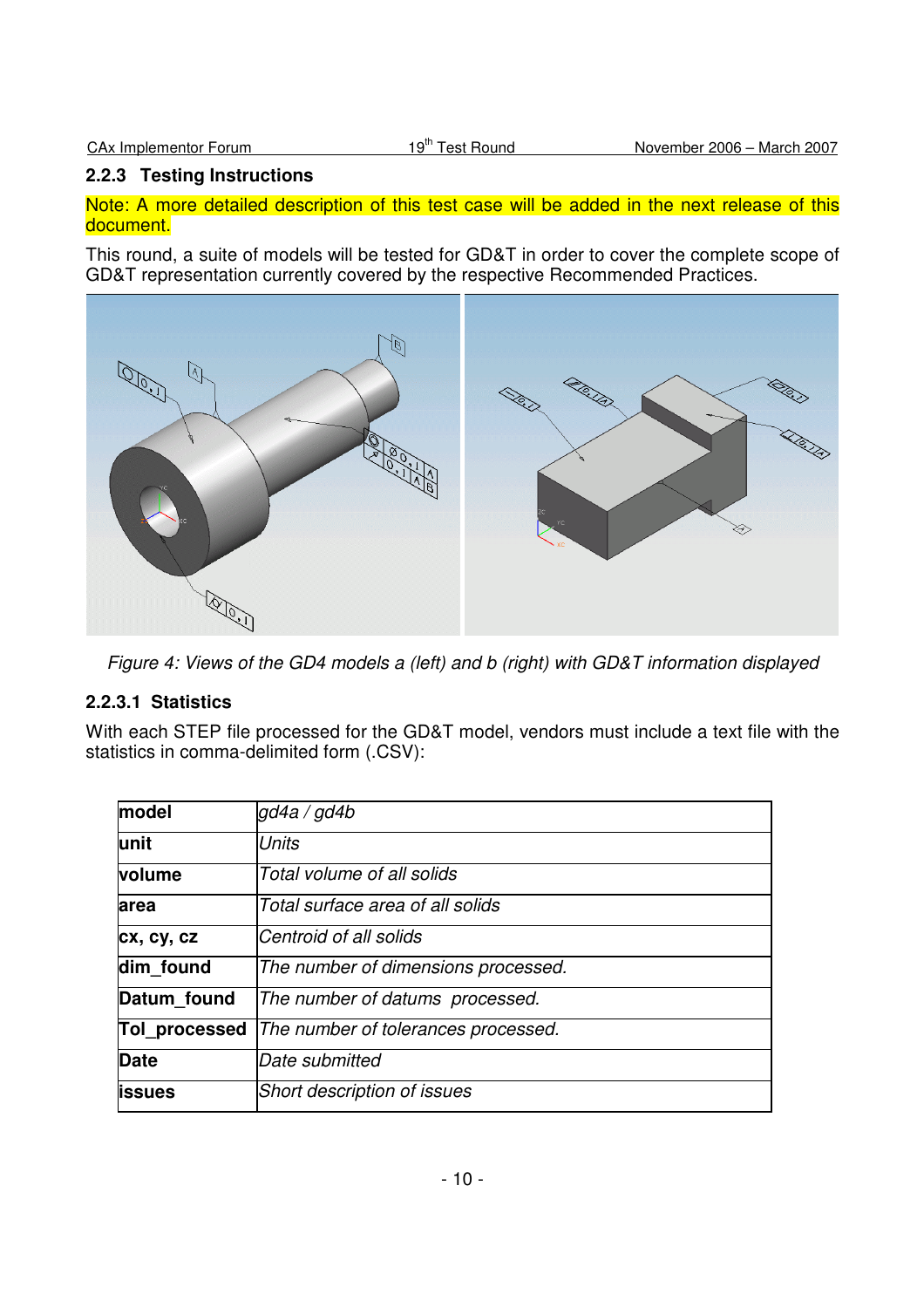### **2.2.3 Testing Instructions**

Note: A more detailed description of this test case will be added in the next release of this document.

This round, a suite of models will be tested for GD&T in order to cover the complete scope of GD&T representation currently covered by the respective Recommended Practices.



Figure 4: Views of the GD4 models a (left) and b (right) with GD&T information displayed

## **2.2.3.1 Statistics**

With each STEP file processed for the GD&T model, vendors must include a text file with the statistics in comma-delimited form (.CSV):

| model          | gd4a / gd4b                         |
|----------------|-------------------------------------|
| lunit          | <b>Units</b>                        |
| volume         | Total volume of all solids          |
| area           | Total surface area of all solids    |
| cx, cy, cz     | Centroid of all solids              |
| dim found      | The number of dimensions processed. |
| Datum found    | The number of datums processed.     |
| Tol_processed  | The number of tolerances processed. |
| <b>Date</b>    | Date submitted                      |
| <b>lissues</b> | <b>Short description of issues</b>  |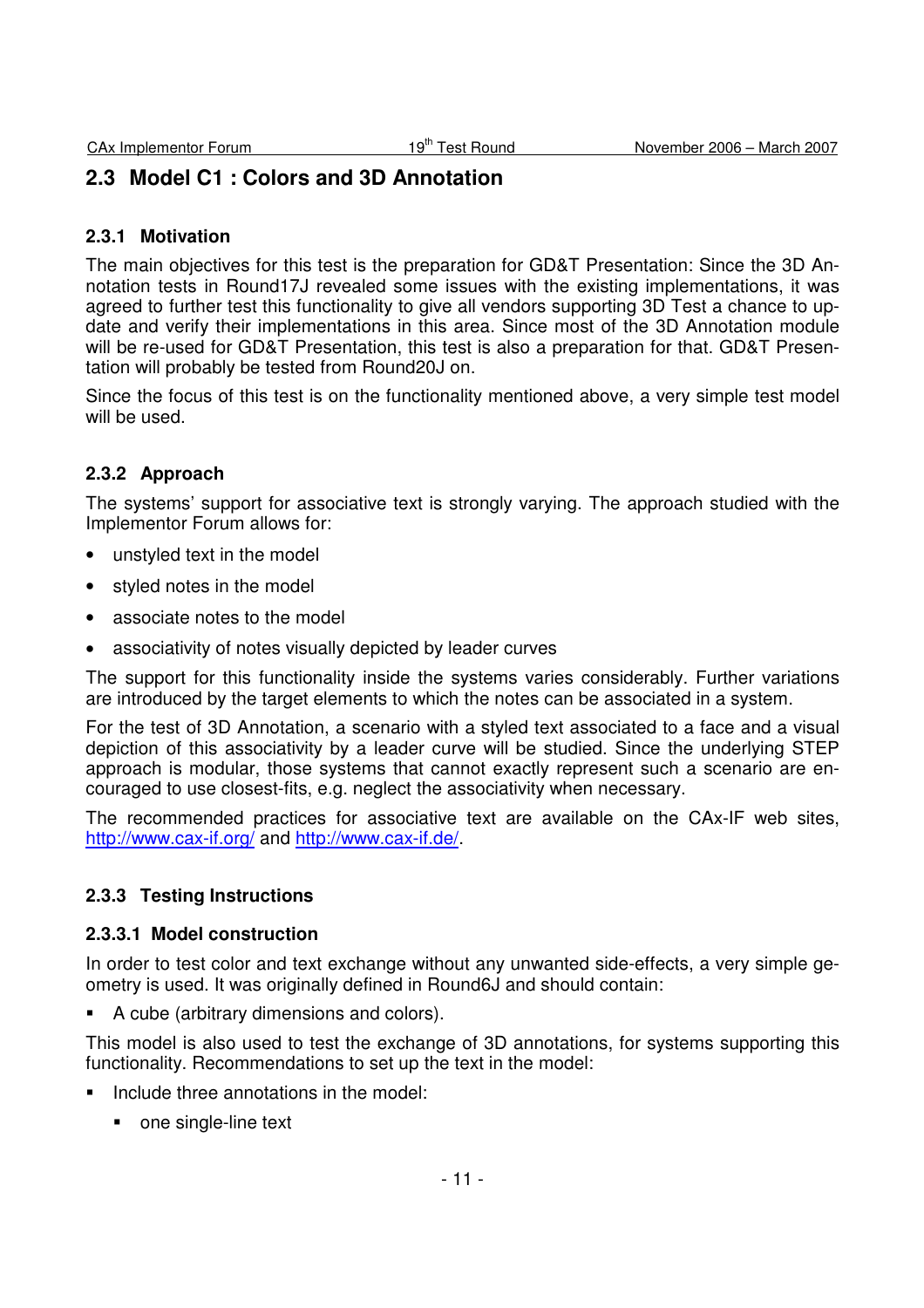# **2.3 Model C1 : Colors and 3D Annotation**

#### **2.3.1 Motivation**

The main objectives for this test is the preparation for GD&T Presentation: Since the 3D Annotation tests in Round17J revealed some issues with the existing implementations, it was agreed to further test this functionality to give all vendors supporting 3D Test a chance to update and verify their implementations in this area. Since most of the 3D Annotation module will be re-used for GD&T Presentation, this test is also a preparation for that. GD&T Presentation will probably be tested from Round20J on.

Since the focus of this test is on the functionality mentioned above, a very simple test model will be used.

### **2.3.2 Approach**

The systems' support for associative text is strongly varying. The approach studied with the Implementor Forum allows for:

- unstyled text in the model
- styled notes in the model
- associate notes to the model
- associativity of notes visually depicted by leader curves

The support for this functionality inside the systems varies considerably. Further variations are introduced by the target elements to which the notes can be associated in a system.

For the test of 3D Annotation, a scenario with a styled text associated to a face and a visual depiction of this associativity by a leader curve will be studied. Since the underlying STEP approach is modular, those systems that cannot exactly represent such a scenario are encouraged to use closest-fits, e.g. neglect the associativity when necessary.

The recommended practices for associative text are available on the CAx-IF web sites, http://www.cax-if.org/ and http://www.cax-if.de/.

#### **2.3.3 Testing Instructions**

#### **2.3.3.1 Model construction**

In order to test color and text exchange without any unwanted side-effects, a very simple geometry is used. It was originally defined in Round6J and should contain:

A cube (arbitrary dimensions and colors).

This model is also used to test the exchange of 3D annotations, for systems supporting this functionality. Recommendations to set up the text in the model:

- **Include three annotations in the model:** 
	- one single-line text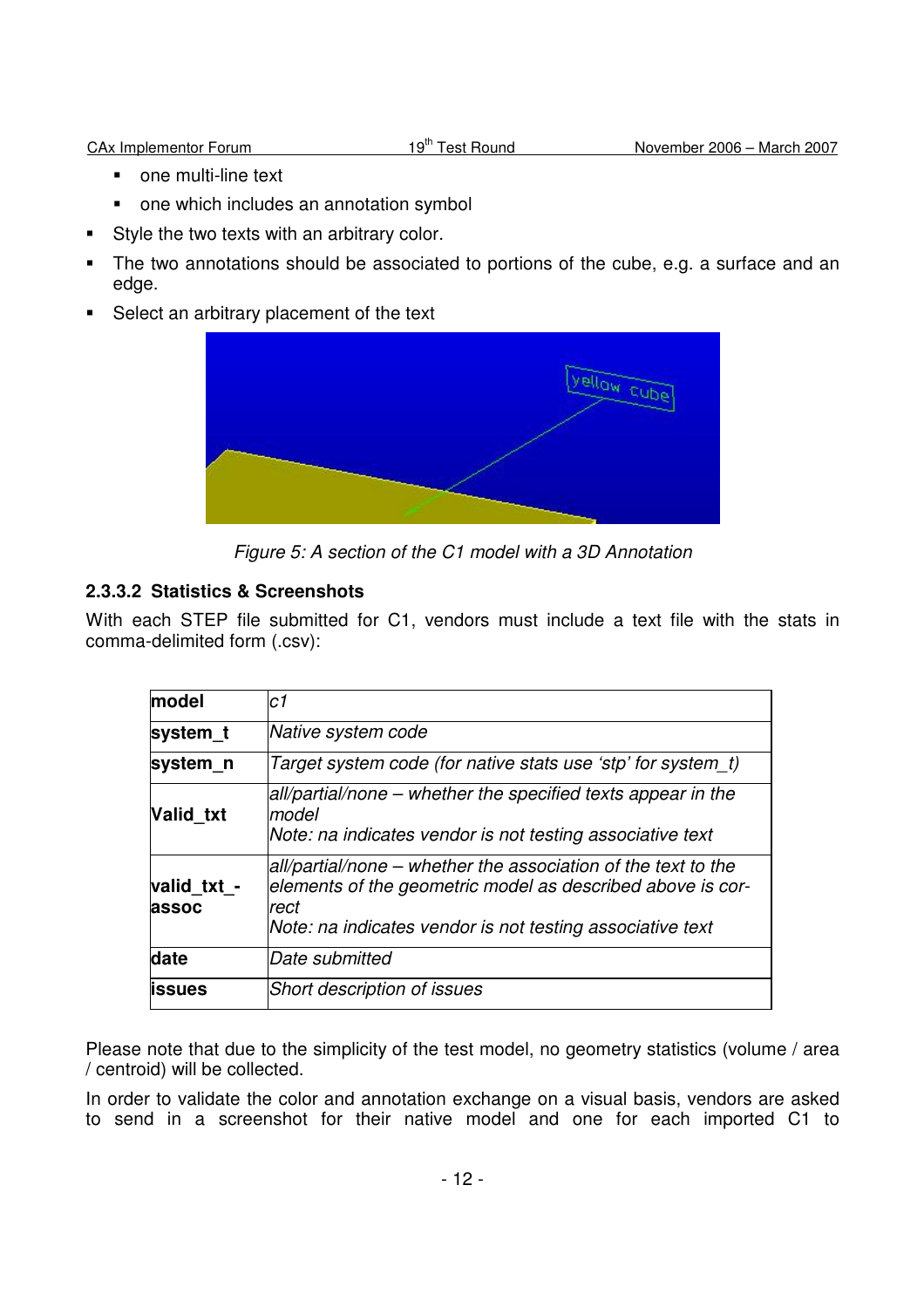- one multi-line text
- one which includes an annotation symbol
- Style the two texts with an arbitrary color.
- The two annotations should be associated to portions of the cube, e.g. a surface and an edge.
- Select an arbitrary placement of the text



Figure 5: A section of the C1 model with a 3D Annotation

## **2.3.3.2 Statistics & Screenshots**

With each STEP file submitted for C1, vendors must include a text file with the stats in comma-delimited form (.csv):

| model                | c1                                                                                                                                                                                               |
|----------------------|--------------------------------------------------------------------------------------------------------------------------------------------------------------------------------------------------|
| system t             | Native system code                                                                                                                                                                               |
| system n             | Target system code (for native stats use 'stp' for system_t)                                                                                                                                     |
| Valid_txt            | all/partial/none – whether the specified texts appear in the<br>Imodel<br>Note: na indicates vendor is not testing associative text                                                              |
| valid_txt_-<br>assoc | all/partial/none – whether the association of the text to the<br>elements of the geometric model as described above is cor-<br>rect<br>Note: na indicates vendor is not testing associative text |
| date                 | Date submitted                                                                                                                                                                                   |
| <b>lissues</b>       | Short description of issues                                                                                                                                                                      |

Please note that due to the simplicity of the test model, no geometry statistics (volume / area / centroid) will be collected.

In order to validate the color and annotation exchange on a visual basis, vendors are asked to send in a screenshot for their native model and one for each imported C1 to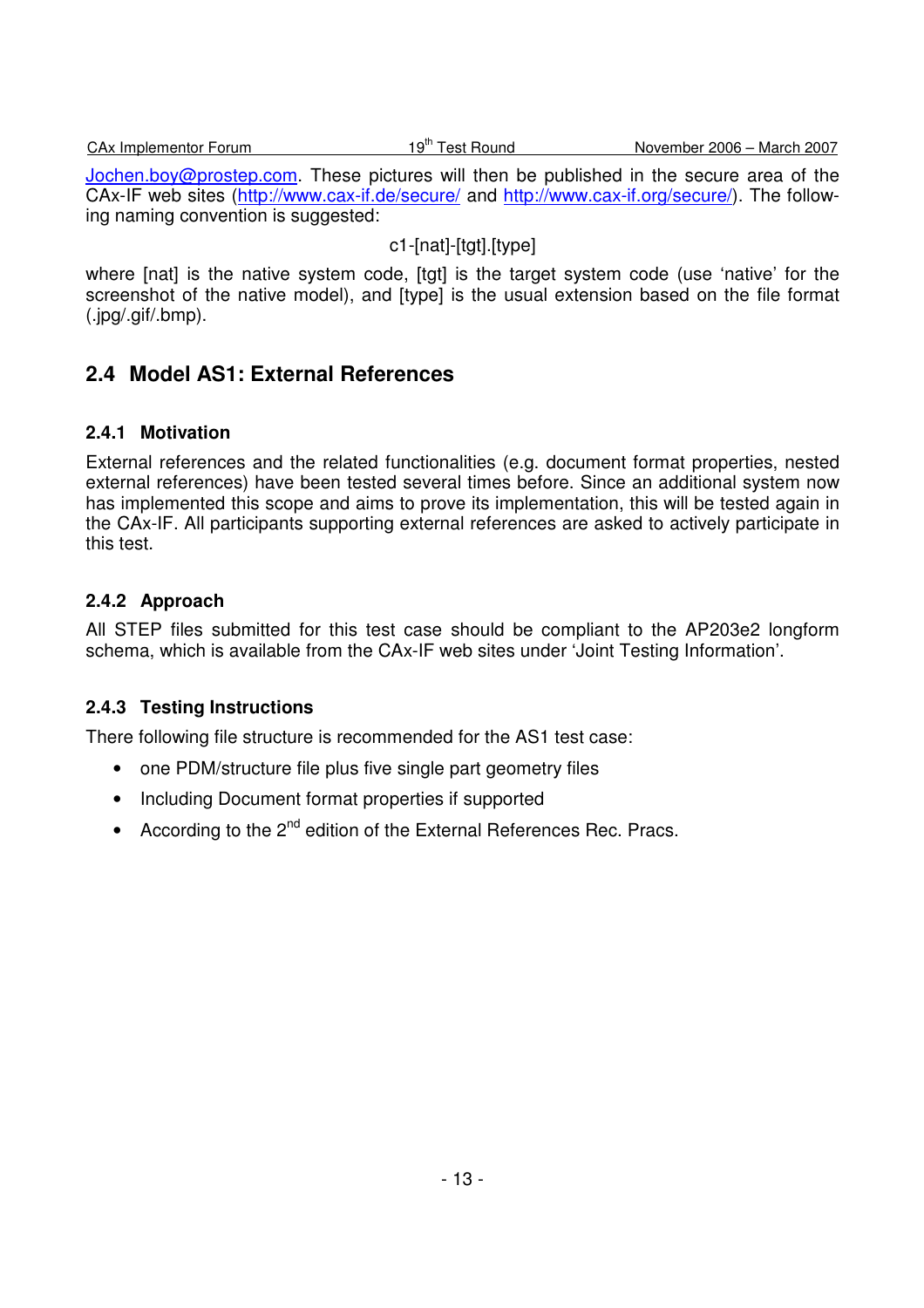Jochen.boy@prostep.com. These pictures will then be published in the secure area of the CAx-IF web sites (http://www.cax-if.de/secure/ and http://www.cax-if.org/secure/). The following naming convention is suggested:

## c1-[nat]-[tgt].[type]

where [nat] is the native system code, [tgt] is the target system code (use 'native' for the screenshot of the native model), and [type] is the usual extension based on the file format (.jpg/.gif/.bmp).

## **2.4 Model AS1: External References**

## **2.4.1 Motivation**

External references and the related functionalities (e.g. document format properties, nested external references) have been tested several times before. Since an additional system now has implemented this scope and aims to prove its implementation, this will be tested again in the CAx-IF. All participants supporting external references are asked to actively participate in this test.

## **2.4.2 Approach**

All STEP files submitted for this test case should be compliant to the AP203e2 longform schema, which is available from the CAx-IF web sites under 'Joint Testing Information'.

## **2.4.3 Testing Instructions**

There following file structure is recommended for the AS1 test case:

- one PDM/structure file plus five single part geometry files
- Including Document format properties if supported
- According to the 2<sup>nd</sup> edition of the External References Rec. Pracs.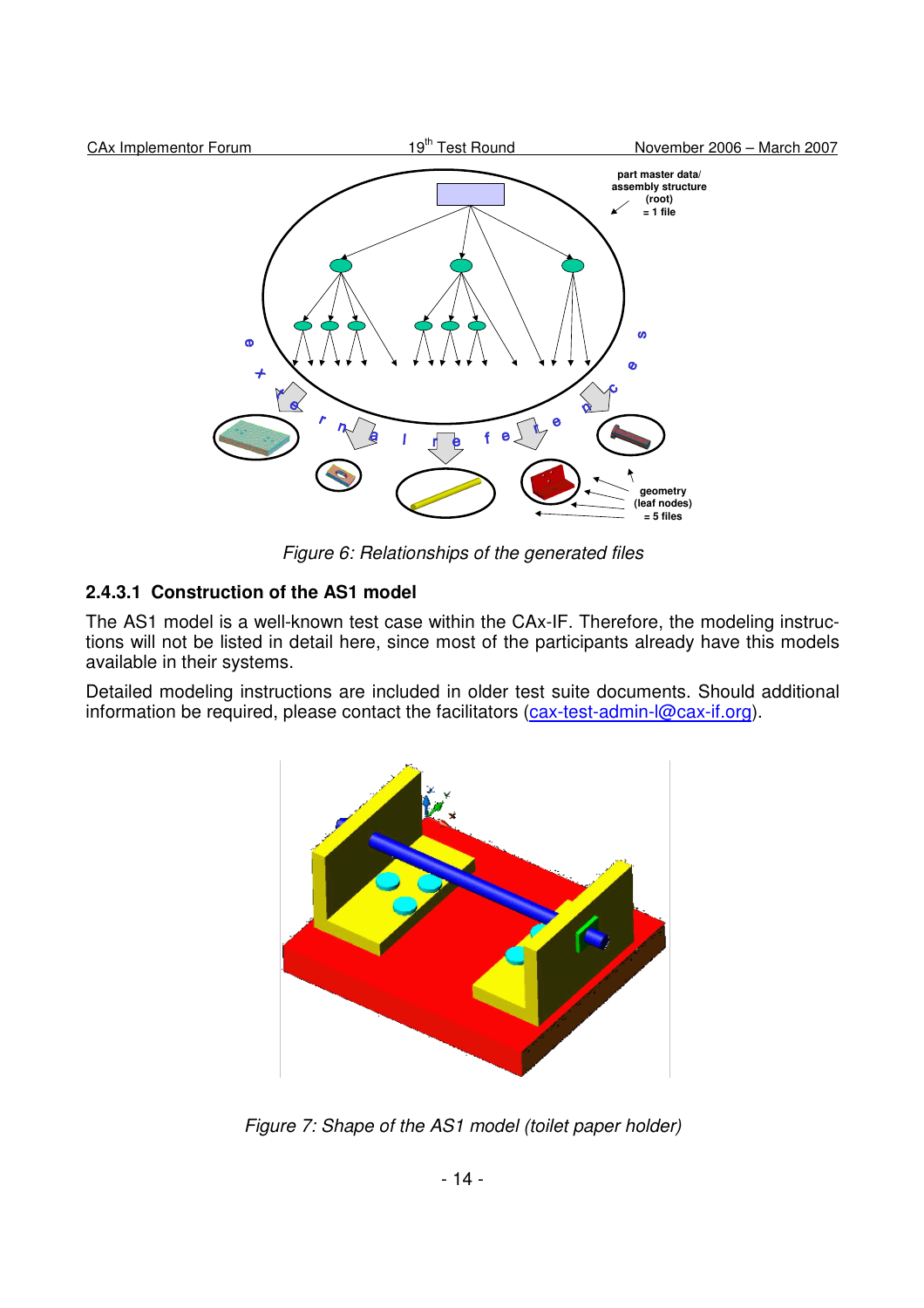

Figure 6: Relationships of the generated files

## **2.4.3.1 Construction of the AS1 model**

The AS1 model is a well-known test case within the CAx-IF. Therefore, the modeling instructions will not be listed in detail here, since most of the participants already have this models available in their systems.

Detailed modeling instructions are included in older test suite documents. Should additional information be required, please contact the facilitators (cax-test-admin-l@cax-if.org).



Figure 7: Shape of the AS1 model (toilet paper holder)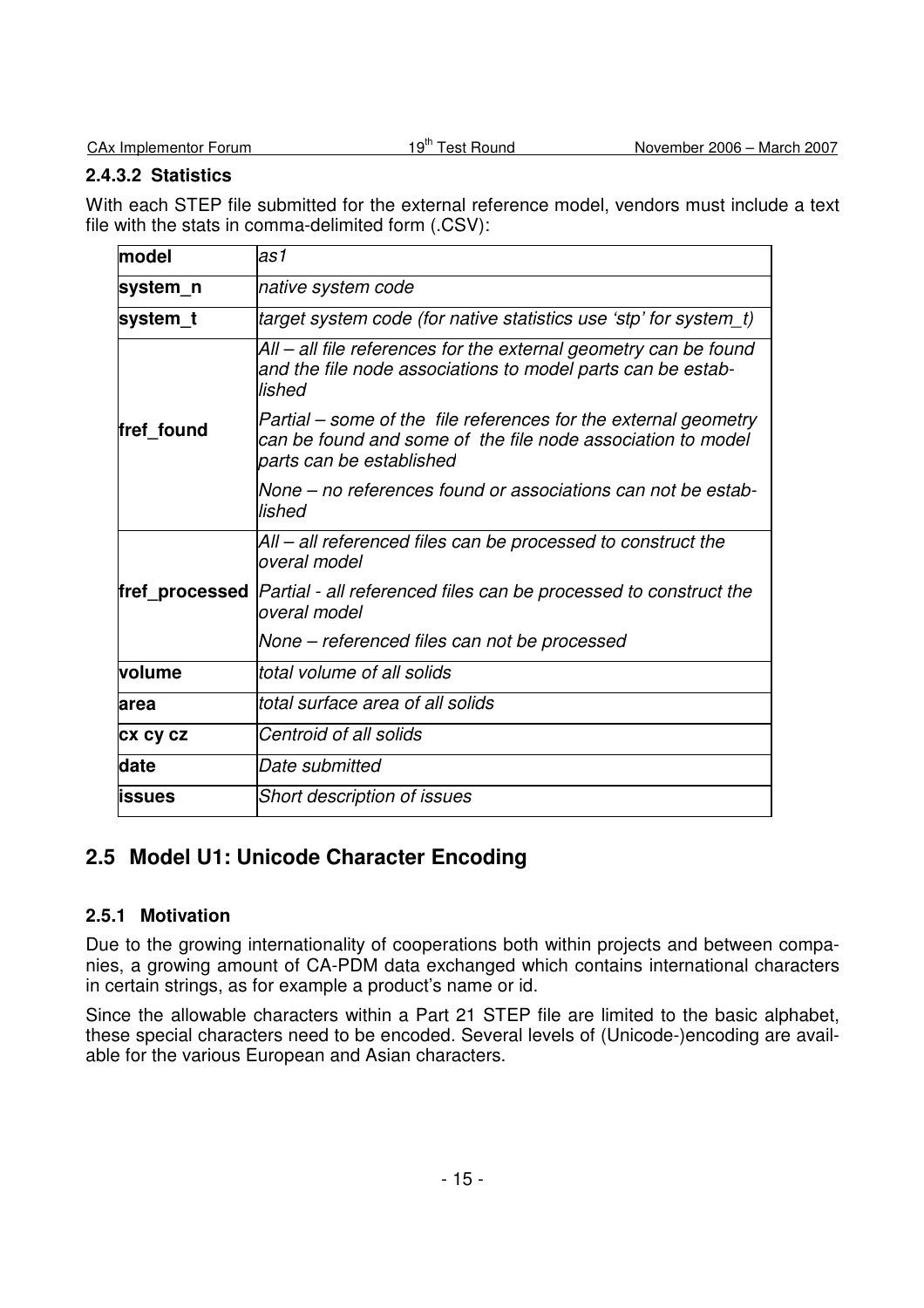#### **2.4.3.2 Statistics**

With each STEP file submitted for the external reference model, vendors must include a text file with the stats in comma-delimited form (.CSV):

| model           | las1                                                                                                                                                       |
|-----------------|------------------------------------------------------------------------------------------------------------------------------------------------------------|
| system_n        | native system code                                                                                                                                         |
| system_t        | (target system code (for native statistics use 'stp' for system_t)                                                                                         |
|                 | All – all file references for the external geometry can be found<br>and the file node associations to model parts can be estab-<br>lished                  |
| fref_found      | Partial – some of the file references for the external geometry<br>can be found and some of the file node association to model<br>parts can be established |
|                 | None – no references found or associations can not be estab-<br>lished                                                                                     |
|                 | All – all referenced files can be processed to construct the<br>overal model                                                                               |
|                 | <b>fref_processed</b>  Partial - all referenced files can be processed to construct the<br>loveral model                                                   |
|                 | None – referenced files can not be processed                                                                                                               |
| volume          | total volume of all solids                                                                                                                                 |
| area            | ltotal surface area of all solids                                                                                                                          |
| <b>CX CY CZ</b> | Centroid of all solids                                                                                                                                     |
| date            | Date submitted                                                                                                                                             |
| <b>lissues</b>  | <b>Short description of issues</b>                                                                                                                         |

## **2.5 Model U1: Unicode Character Encoding**

## **2.5.1 Motivation**

Due to the growing internationality of cooperations both within projects and between companies, a growing amount of CA-PDM data exchanged which contains international characters in certain strings, as for example a product's name or id.

Since the allowable characters within a Part 21 STEP file are limited to the basic alphabet, these special characters need to be encoded. Several levels of (Unicode-)encoding are available for the various European and Asian characters.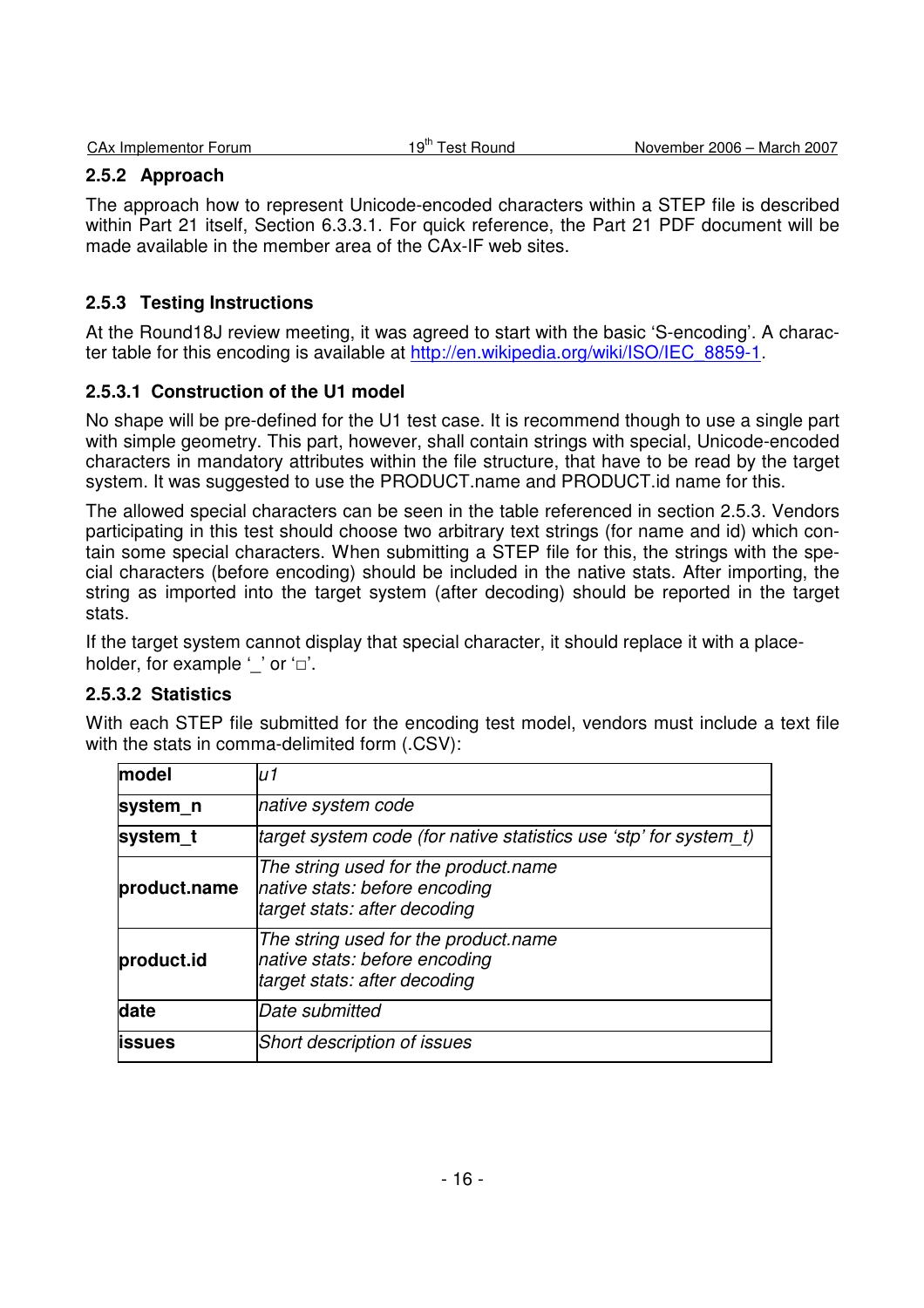| CAx Implementor Forum | 19 <sup>th</sup> Test Round | November 2006 - March 2007 |
|-----------------------|-----------------------------|----------------------------|
|                       |                             |                            |

### **2.5.2 Approach**

The approach how to represent Unicode-encoded characters within a STEP file is described within Part 21 itself, Section 6.3.3.1. For quick reference, the Part 21 PDF document will be made available in the member area of the CAx-IF web sites.

### **2.5.3 Testing Instructions**

At the Round18J review meeting, it was agreed to start with the basic 'S-encoding'. A character table for this encoding is available at http://en.wikipedia.org/wiki/ISO/IEC\_8859-1.

### **2.5.3.1 Construction of the U1 model**

No shape will be pre-defined for the U1 test case. It is recommend though to use a single part with simple geometry. This part, however, shall contain strings with special, Unicode-encoded characters in mandatory attributes within the file structure, that have to be read by the target system. It was suggested to use the PRODUCT.name and PRODUCT.id name for this.

The allowed special characters can be seen in the table referenced in section 2.5.3. Vendors participating in this test should choose two arbitrary text strings (for name and id) which contain some special characters. When submitting a STEP file for this, the strings with the special characters (before encoding) should be included in the native stats. After importing, the string as imported into the target system (after decoding) should be reported in the target stats.

If the target system cannot display that special character, it should replace it with a placeholder, for example '' or '□'.

#### **2.5.3.2 Statistics**

With each STEP file submitted for the encoding test model, vendors must include a text file with the stats in comma-delimited form (.CSV):

| model         | u1                                                                                                    |
|---------------|-------------------------------------------------------------------------------------------------------|
| system n      | native system code                                                                                    |
| system t      | (target system code (for native statistics use 'stp' for system t)                                    |
| product.name  | The string used for the product.name<br>native stats: before encoding<br>target stats: after decoding |
| product.id    | The string used for the product.name<br>native stats: before encoding<br>target stats: after decoding |
| date          | Date submitted                                                                                        |
| <b>issues</b> | Short description of issues                                                                           |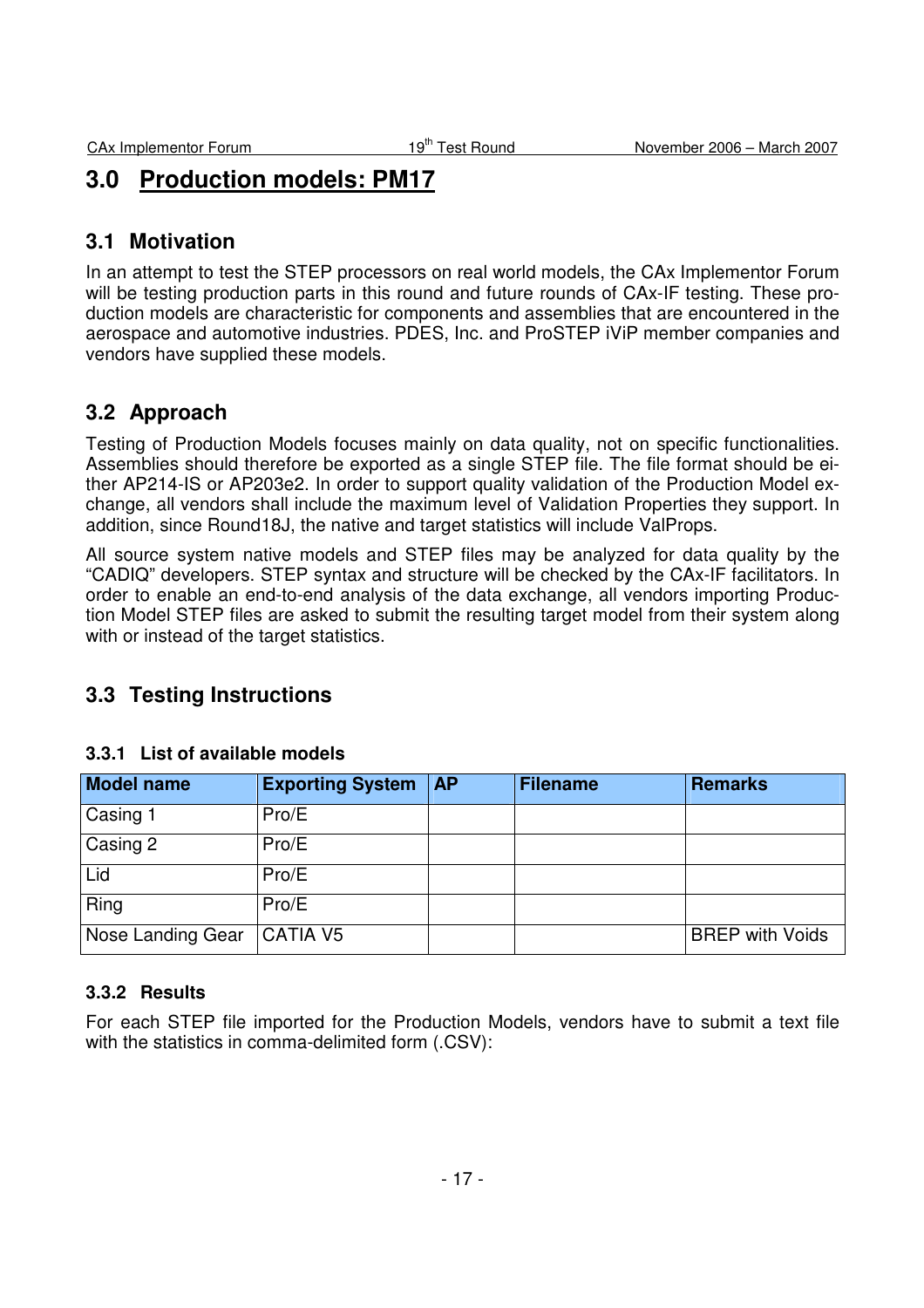# **3.0 Production models: PM17**

## **3.1 Motivation**

In an attempt to test the STEP processors on real world models, the CAx Implementor Forum will be testing production parts in this round and future rounds of CAx-IF testing. These production models are characteristic for components and assemblies that are encountered in the aerospace and automotive industries. PDES, Inc. and ProSTEP iViP member companies and vendors have supplied these models.

## **3.2 Approach**

Testing of Production Models focuses mainly on data quality, not on specific functionalities. Assemblies should therefore be exported as a single STEP file. The file format should be either AP214-IS or AP203e2. In order to support quality validation of the Production Model exchange, all vendors shall include the maximum level of Validation Properties they support. In addition, since Round18J, the native and target statistics will include ValProps.

All source system native models and STEP files may be analyzed for data quality by the "CADIQ" developers. STEP syntax and structure will be checked by the CAx-IF facilitators. In order to enable an end-to-end analysis of the data exchange, all vendors importing Production Model STEP files are asked to submit the resulting target model from their system along with or instead of the target statistics.

## **3.3 Testing Instructions**

| Model name        | <b>Exporting System</b> | <b>AP</b> | <b>Filename</b> | <b>Remarks</b>         |
|-------------------|-------------------------|-----------|-----------------|------------------------|
| Casing 1          | Pro/E                   |           |                 |                        |
| Casing 2          | Pro/E                   |           |                 |                        |
| Lid               | Pro/E                   |           |                 |                        |
| Ring              | Pro/E                   |           |                 |                        |
| Nose Landing Gear | <b>CATIA V5</b>         |           |                 | <b>BREP with Voids</b> |

#### **3.3.1 List of available models**

#### **3.3.2 Results**

For each STEP file imported for the Production Models, vendors have to submit a text file with the statistics in comma-delimited form (.CSV):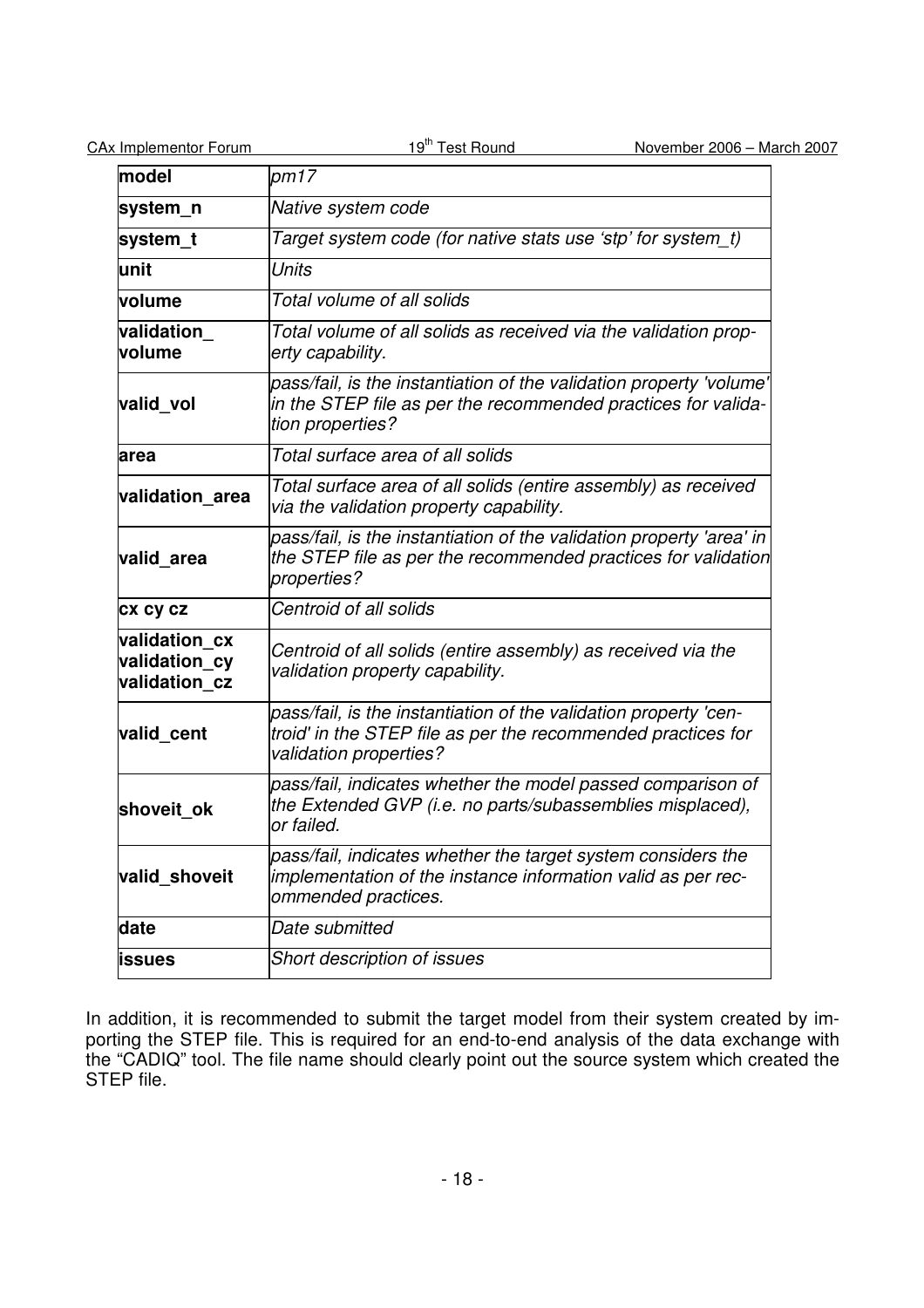| <b>CAx Implementor Forum</b>                    | 19 <sup>th</sup> Test Round<br>November 2006 - March 2007                                                                                                  |  |  |  |
|-------------------------------------------------|------------------------------------------------------------------------------------------------------------------------------------------------------------|--|--|--|
| model                                           | pm17                                                                                                                                                       |  |  |  |
| system_n                                        | Native system code                                                                                                                                         |  |  |  |
| system_t                                        | Target system code (for native stats use 'stp' for system t)                                                                                               |  |  |  |
| unit                                            | <b>Units</b>                                                                                                                                               |  |  |  |
| volume                                          | Total volume of all solids                                                                                                                                 |  |  |  |
| validation<br>volume                            | Total volume of all solids as received via the validation prop-<br>erty capability.                                                                        |  |  |  |
| valid vol                                       | pass/fail, is the instantiation of the validation property 'volume'<br>in the STEP file as per the recommended practices for valida-<br>tion properties?   |  |  |  |
| area                                            | Total surface area of all solids                                                                                                                           |  |  |  |
| validation area                                 | Total surface area of all solids (entire assembly) as received<br>via the validation property capability.                                                  |  |  |  |
| valid area                                      | pass/fail, is the instantiation of the validation property 'area' in<br>the STEP file as per the recommended practices for validation<br>properties?       |  |  |  |
| <b>CX CY CZ</b>                                 | Centroid of all solids                                                                                                                                     |  |  |  |
| validation cx<br>validation cy<br>validation cz | Centroid of all solids (entire assembly) as received via the<br>validation property capability.                                                            |  |  |  |
| valid cent                                      | pass/fail, is the instantiation of the validation property 'cen-<br>troid' in the STEP file as per the recommended practices for<br>validation properties? |  |  |  |
| shoveit ok                                      | pass/fail, indicates whether the model passed comparison of<br>the Extended GVP (i.e. no parts/subassemblies misplaced),<br>lor failed.                    |  |  |  |
| valid shoveit                                   | pass/fail, indicates whether the target system considers the<br>implementation of the instance information valid as per rec-<br>ommended practices.        |  |  |  |
| date                                            | Date submitted                                                                                                                                             |  |  |  |
| issues                                          | Short description of issues                                                                                                                                |  |  |  |

In addition, it is recommended to submit the target model from their system created by importing the STEP file. This is required for an end-to-end analysis of the data exchange with the "CADIQ" tool. The file name should clearly point out the source system which created the STEP file.